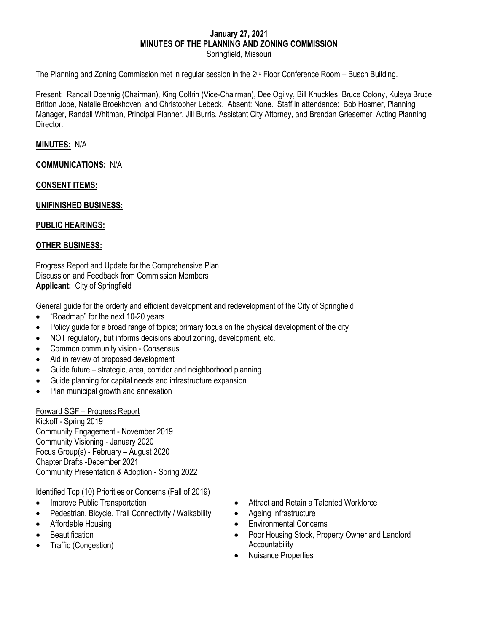#### **January 27, 2021 MINUTES OF THE PLANNING AND ZONING COMMISSION** Springfield, Missouri

The Planning and Zoning Commission met in regular session in the  $2<sup>nd</sup>$  Floor Conference Room – Busch Building.

Present: Randall Doennig (Chairman), King Coltrin (Vice-Chairman), Dee Ogilvy, Bill Knuckles, Bruce Colony, Kuleya Bruce, Britton Jobe, Natalie Broekhoven, and Christopher Lebeck. Absent: None. Staff in attendance: Bob Hosmer, Planning Manager, Randall Whitman, Principal Planner, Jill Burris, Assistant City Attorney, and Brendan Griesemer, Acting Planning **Director** 

### **MINUTES:** N/A

### **COMMUNICATIONS:** N/A

### **CONSENT ITEMS:**

### **UNIFINISHED BUSINESS:**

### **PUBLIC HEARINGS:**

### **OTHER BUSINESS:**

Progress Report and Update for the Comprehensive Plan Discussion and Feedback from Commission Members **Applicant:** City of Springfield

General guide for the orderly and efficient development and redevelopment of the City of Springfield.

- "Roadmap" for the next 10-20 years
- Policy guide for a broad range of topics; primary focus on the physical development of the city
- NOT regulatory, but informs decisions about zoning, development, etc.
- Common community vision Consensus
- Aid in review of proposed development
- Guide future strategic, area, corridor and neighborhood planning
- Guide planning for capital needs and infrastructure expansion
- Plan municipal growth and annexation

### Forward SGF – Progress Report

Kickoff - Spring 2019 Community Engagement - November 2019 Community Visioning - January 2020 Focus Group(s) - February – August 2020 Chapter Drafts -December 2021 Community Presentation & Adoption - Spring 2022

Identified Top (10) Priorities or Concerns (Fall of 2019)

- Improve Public Transportation
- Pedestrian, Bicycle, Trail Connectivity / Walkability
- Affordable Housing
- Beautification
- Traffic (Congestion)
- Attract and Retain a Talented Workforce
- Ageing Infrastructure
- Environmental Concerns
- Poor Housing Stock, Property Owner and Landlord Accountability
- Nuisance Properties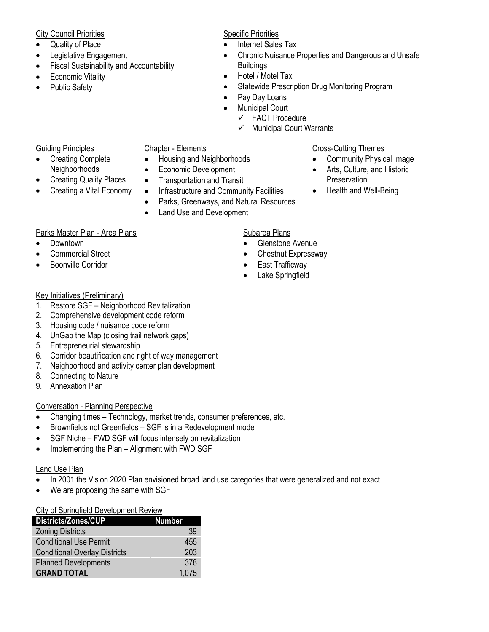### City Council Priorities

- Quality of Place
- Legislative Engagement
- Fiscal Sustainability and Accountability
- Economic Vitality
- Public Safety

## Specific Priorities

- Internet Sales Tax
- Chronic Nuisance Properties and Dangerous and Unsafe **Buildings**
- Hotel / Motel Tax
- Statewide Prescription Drug Monitoring Program
- Pay Day Loans
- **Municipal Court** 
	- $\checkmark$  FACT Procedure
	- $\checkmark$  Municipal Court Warrants

## Guiding Principles

- Creating Complete Neighborhoods
- Creating Quality Places
- Creating a Vital Economy

## Chapter - Elements

- Housing and Neighborhoods
- Economic Development
- Transportation and Transit
- Infrastructure and Community Facilities
	- Parks, Greenways, and Natural Resources
- Land Use and Development

## Parks Master Plan - Area Plans

- Downtown
- Commercial Street
- Boonville Corridor

# Key Initiatives (Preliminary)

- 1. Restore SGF Neighborhood Revitalization
- 2. Comprehensive development code reform
- 3. Housing code / nuisance code reform
- 4. UnGap the Map (closing trail network gaps)
- 5. Entrepreneurial stewardship
- 6. Corridor beautification and right of way management
- 7. Neighborhood and activity center plan development
- 8. Connecting to Nature
- 9. Annexation Plan

# Conversation - Planning Perspective

- Changing times Technology, market trends, consumer preferences, etc.
- Brownfields not Greenfields SGF is in a Redevelopment mode
- SGF Niche FWD SGF will focus intensely on revitalization
- Implementing the Plan Alignment with FWD SGF

## Land Use Plan

- In 2001 the Vision 2020 Plan envisioned broad land use categories that were generalized and not exact
- We are proposing the same with SGF

## City of Springfield Development Review

| <b>Districts/Zones/CUP</b>           | <b>Number</b> |
|--------------------------------------|---------------|
| <b>Zoning Districts</b>              | 39            |
| <b>Conditional Use Permit</b>        | 455           |
| <b>Conditional Overlay Districts</b> | 203           |
| <b>Planned Developments</b>          | 378           |
| <b>GRAND TOTAL</b>                   | 1,075         |

## Cross-Cutting Themes

- Community Physical Image
- Arts, Culture, and Historic **Preservation**
- Health and Well-Being

# Subarea Plans

- Glenstone Avenue
- Chestnut Expressway
- 
- Lake Springfield
- 
- 
- East Trafficway
-